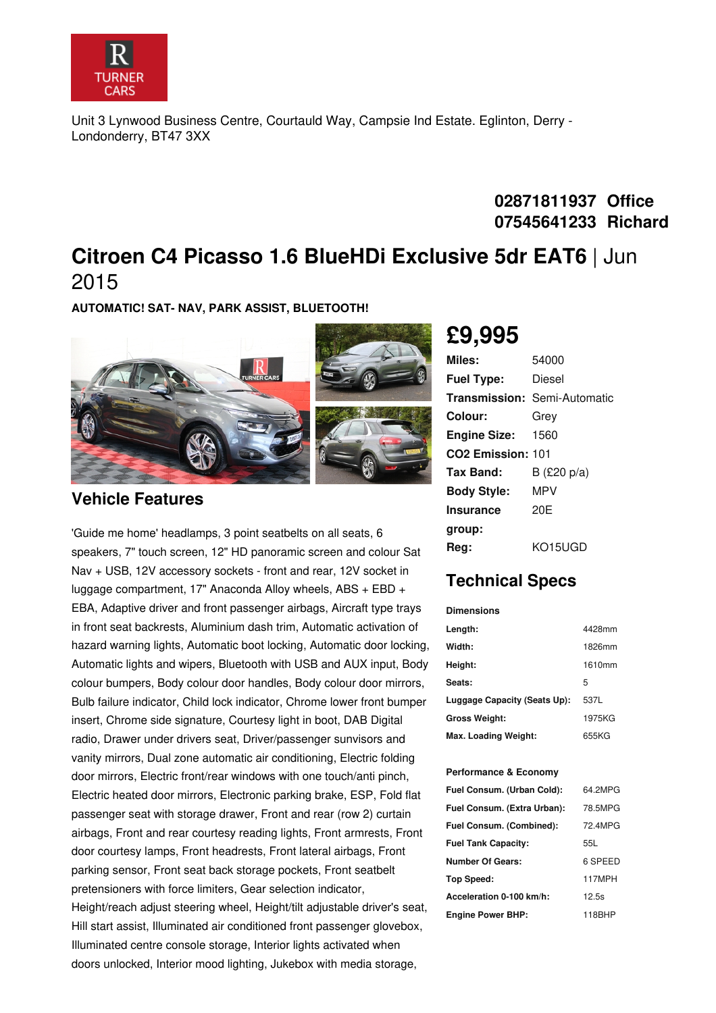

Unit 3 Lynwood Business Centre, Courtauld Way, Campsie Ind Estate. Eglinton, Derry - Londonderry, BT47 3XX

## **02871811937 Office 07545641233 Richard**

## **Citroen C4 Picasso 1.6 BlueHDi Exclusive 5dr EAT6** | Jun 2015

**AUTOMATIC! SAT- NAV, PARK ASSIST, BLUETOOTH!**



#### **Vehicle Features**

'Guide me home' headlamps, 3 point seatbelts on all seats, 6 speakers, 7" touch screen, 12" HD panoramic screen and colour Sat Nav + USB, 12V accessory sockets - front and rear, 12V socket in luggage compartment, 17" Anaconda Alloy wheels, ABS + EBD + EBA, Adaptive driver and front passenger airbags, Aircraft type trays in front seat backrests, Aluminium dash trim, Automatic activation of hazard warning lights, Automatic boot locking, Automatic door locking, Automatic lights and wipers, Bluetooth with USB and AUX input, Body colour bumpers, Body colour door handles, Body colour door mirrors, Bulb failure indicator, Child lock indicator, Chrome lower front bumper insert, Chrome side signature, Courtesy light in boot, DAB Digital radio, Drawer under drivers seat, Driver/passenger sunvisors and vanity mirrors, Dual zone automatic air conditioning, Electric folding door mirrors, Electric front/rear windows with one touch/anti pinch, Electric heated door mirrors, Electronic parking brake, ESP, Fold flat passenger seat with storage drawer, Front and rear (row 2) curtain airbags, Front and rear courtesy reading lights, Front armrests, Front door courtesy lamps, Front headrests, Front lateral airbags, Front parking sensor, Front seat back storage pockets, Front seatbelt pretensioners with force limiters, Gear selection indicator, Height/reach adjust steering wheel, Height/tilt adjustable driver's seat, Hill start assist, Illuminated air conditioned front passenger glovebox, Illuminated centre console storage, Interior lights activated when doors unlocked, Interior mood lighting, Jukebox with media storage,

# **£9,995**

| Miles:                   | 54000                               |
|--------------------------|-------------------------------------|
| <b>Fuel Type:</b>        | Diesel                              |
|                          | <b>Transmission: Semi-Automatic</b> |
| Colour:                  | Grev                                |
| <b>Engine Size:</b>      | 1560                                |
| <b>CO2 Emission: 101</b> |                                     |
| Tax Band:                | B $(E20 p/a)$                       |
| <b>Body Style:</b>       | MPV                                 |
| <b>Insurance</b>         | 20E                                 |
| group:                   |                                     |
| Reg:                     | KO15UGD                             |

## **Technical Specs**

#### **Dimensions**

| Length:                      | 4428mm |
|------------------------------|--------|
| Width:                       | 1826mm |
| Height:                      | 1610mm |
| Seats:                       | 5      |
| Luggage Capacity (Seats Up): | 537L   |
| <b>Gross Weight:</b>         | 1975KG |
| Max. Loading Weight:         | 655KG  |

#### **Performance & Economy**

| Fuel Consum. (Urban Cold):  | 64 2MPG |
|-----------------------------|---------|
| Fuel Consum. (Extra Urban): | 78.5MPG |
| Fuel Consum. (Combined):    | 72.4MPG |
| <b>Fuel Tank Capacity:</b>  | 55L     |
| Number Of Gears:            | 6 SPEED |
| Top Speed:                  | 117MPH  |
| Acceleration 0-100 km/h:    | 12.5s   |
| <b>Engine Power BHP:</b>    | 118BHP  |